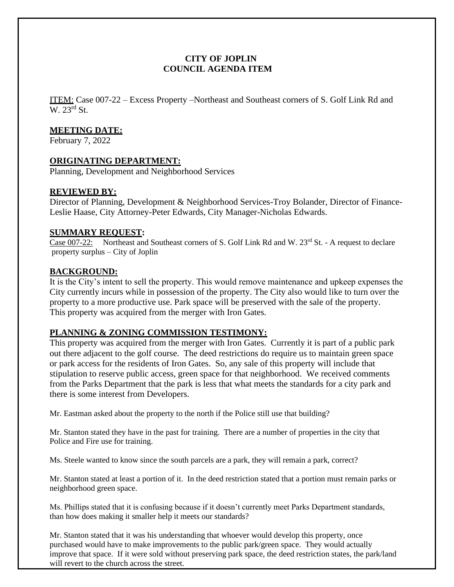# **CITY OF JOPLIN COUNCIL AGENDA ITEM**

ITEM: Case 007-22 – Excess Property –Northeast and Southeast corners of S. Golf Link Rd and W. 23rd St.

# **MEETING DATE:**

February 7, 2022

## **ORIGINATING DEPARTMENT:**

Planning, Development and Neighborhood Services

## **REVIEWED BY:**

Director of Planning, Development & Neighborhood Services-Troy Bolander, Director of Finance-Leslie Haase, City Attorney-Peter Edwards, City Manager-Nicholas Edwards.

#### **SUMMARY REQUEST:**

Case 007-22: Northeast and Southeast corners of S. Golf Link Rd and W.  $23<sup>rd</sup>$  St. - A request to declare property surplus – City of Joplin

#### **BACKGROUND:**

It is the City's intent to sell the property. This would remove maintenance and upkeep expenses the City currently incurs while in possession of the property. The City also would like to turn over the property to a more productive use. Park space will be preserved with the sale of the property. This property was acquired from the merger with Iron Gates.

# **PLANNING & ZONING COMMISSION TESTIMONY:**

This property was acquired from the merger with Iron Gates. Currently it is part of a public park out there adjacent to the golf course. The deed restrictions do require us to maintain green space or park access for the residents of Iron Gates. So, any sale of this property will include that stipulation to reserve public access, green space for that neighborhood. We received comments from the Parks Department that the park is less that what meets the standards for a city park and there is some interest from Developers.

Mr. Eastman asked about the property to the north if the Police still use that building?

Mr. Stanton stated they have in the past for training. There are a number of properties in the city that Police and Fire use for training.

Ms. Steele wanted to know since the south parcels are a park, they will remain a park, correct?

Mr. Stanton stated at least a portion of it. In the deed restriction stated that a portion must remain parks or neighborhood green space.

Ms. Phillips stated that it is confusing because if it doesn't currently meet Parks Department standards, than how does making it smaller help it meets our standards?

Mr. Stanton stated that it was his understanding that whoever would develop this property, once purchased would have to make improvements to the public park/green space. They would actually improve that space. If it were sold without preserving park space, the deed restriction states, the park/land will revert to the church across the street.